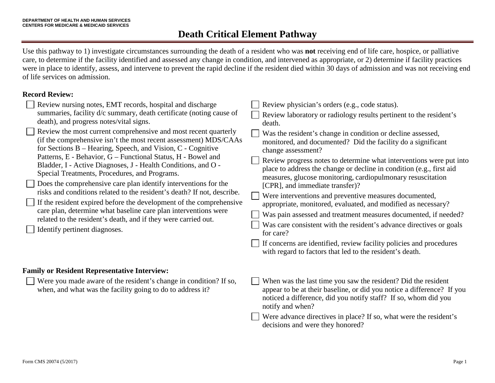## **Death Critical Element Pathway**

Use this pathway to 1) investigate circumstances surrounding the death of a resident who was **not** receiving end of life care, hospice, or palliative care, to determine if the facility identified and assessed any change in condition, and intervened as appropriate, or 2) determine if facility practices were in place to identify, assess, and intervene to prevent the rapid decline if the resident died within 30 days of admission and was not receiving end of life services on admission.

### **Record Review:**

| Review nursing notes, EMT records, hospital and discharge<br>summaries, facility d/c summary, death certificate (noting cause of<br>death), and progress notes/vital signs.<br>Review the most current comprehensive and most recent quarterly<br>(if the comprehensive isn't the most recent assessment) MDS/CAAs<br>for Sections B – Hearing, Speech, and Vision, C - Cognitive<br>Patterns, E - Behavior, G – Functional Status, H - Bowel and<br>Bladder, I - Active Diagnoses, J - Health Conditions, and O -<br>Special Treatments, Procedures, and Programs.<br>Does the comprehensive care plan identify interventions for the<br>risks and conditions related to the resident's death? If not, describe.<br>If the resident expired before the development of the comprehensive<br>care plan, determine what baseline care plan interventions were<br>related to the resident's death, and if they were carried out.<br>Identify pertinent diagnoses. | Review physician's orders (e.g., code status).<br>Review laboratory or radiology results pertinent to the resident's<br>death.<br>Was the resident's change in condition or decline assessed,<br>monitored, and documented? Did the facility do a significant<br>change assessment?<br>Review progress notes to determine what interventions were put into<br>place to address the change or decline in condition (e.g., first aid<br>measures, glucose monitoring, cardiopulmonary resuscitation<br>[CPR], and immediate transfer)?<br>Were interventions and preventive measures documented,<br>appropriate, monitored, evaluated, and modified as necessary?<br>Was pain assessed and treatment measures documented, if needed?<br>Was care consistent with the resident's advance directives or goals<br>for care?<br>If concerns are identified, review facility policies and procedures<br>with regard to factors that led to the resident's death. |
|----------------------------------------------------------------------------------------------------------------------------------------------------------------------------------------------------------------------------------------------------------------------------------------------------------------------------------------------------------------------------------------------------------------------------------------------------------------------------------------------------------------------------------------------------------------------------------------------------------------------------------------------------------------------------------------------------------------------------------------------------------------------------------------------------------------------------------------------------------------------------------------------------------------------------------------------------------------|-----------------------------------------------------------------------------------------------------------------------------------------------------------------------------------------------------------------------------------------------------------------------------------------------------------------------------------------------------------------------------------------------------------------------------------------------------------------------------------------------------------------------------------------------------------------------------------------------------------------------------------------------------------------------------------------------------------------------------------------------------------------------------------------------------------------------------------------------------------------------------------------------------------------------------------------------------------|
| <b>Family or Resident Representative Interview:</b>                                                                                                                                                                                                                                                                                                                                                                                                                                                                                                                                                                                                                                                                                                                                                                                                                                                                                                            |                                                                                                                                                                                                                                                                                                                                                                                                                                                                                                                                                                                                                                                                                                                                                                                                                                                                                                                                                           |
| Were you made aware of the resident's change in condition? If so,<br>when, and what was the facility going to do to address it?                                                                                                                                                                                                                                                                                                                                                                                                                                                                                                                                                                                                                                                                                                                                                                                                                                | When was the last time you saw the resident? Did the resident<br>appear to be at their baseline, or did you notice a difference? If you<br>noticed a difference, did you notify staff? If so, whom did you<br>notify and when?                                                                                                                                                                                                                                                                                                                                                                                                                                                                                                                                                                                                                                                                                                                            |
|                                                                                                                                                                                                                                                                                                                                                                                                                                                                                                                                                                                                                                                                                                                                                                                                                                                                                                                                                                | Were advance directives in place? If so, what were the resident's<br>decisions and were they honored?                                                                                                                                                                                                                                                                                                                                                                                                                                                                                                                                                                                                                                                                                                                                                                                                                                                     |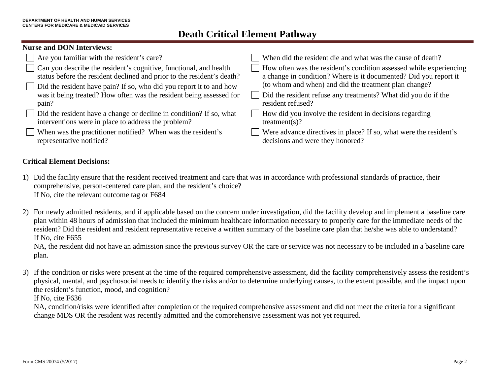# **Death Critical Element Pathway**

### **Nurse and DON Interviews:**

| $\Box$ Are you familiar with the resident's care?                                                                                                  | When did the resident die and what was the cause of death?                                                                             |
|----------------------------------------------------------------------------------------------------------------------------------------------------|----------------------------------------------------------------------------------------------------------------------------------------|
| $\Box$ Can you describe the resident's cognitive, functional, and health<br>status before the resident declined and prior to the resident's death? | How often was the resident's condition assessed while experiencing<br>a change in condition? Where is it documented? Did you report it |
| $\Box$ Did the resident have pain? If so, who did you report it to and how                                                                         | (to whom and when) and did the treatment plan change?                                                                                  |
| was it being treated? How often was the resident being assessed for                                                                                | Did the resident refuse any treatments? What did you do if the                                                                         |
| pain?                                                                                                                                              | resident refused?                                                                                                                      |
| Did the resident have a change or decline in condition? If so, what<br>interventions were in place to address the problem?                         | How did you involve the resident in decisions regarding<br>treatment(s)?                                                               |
| When was the practitioner notified? When was the resident's<br>representative notified?                                                            | Were advance directives in place? If so, what were the resident's<br>decisions and were they honored?                                  |

### **Critical Element Decisions:**

- 1) Did the facility ensure that the resident received treatment and care that was in accordance with professional standards of practice, their comprehensive, person-centered care plan, and the resident's choice? If No, cite the relevant outcome tag or F684
- 2) For newly admitted residents, and if applicable based on the concern under investigation, did the facility develop and implement a baseline care plan within 48 hours of admission that included the minimum healthcare information necessary to properly care for the immediate needs of the resident? Did the resident and resident representative receive a written summary of the baseline care plan that he/she was able to understand? If No, cite F655

NA, the resident did not have an admission since the previous survey OR the care or service was not necessary to be included in a baseline care plan.

3) If the condition or risks were present at the time of the required comprehensive assessment, did the facility comprehensively assess the resident's physical, mental, and psychosocial needs to identify the risks and/or to determine underlying causes, to the extent possible, and the impact upon the resident's function, mood, and cognition?

If No, cite F636

NA, condition/risks were identified after completion of the required comprehensive assessment and did not meet the criteria for a significant change MDS OR the resident was recently admitted and the comprehensive assessment was not yet required.